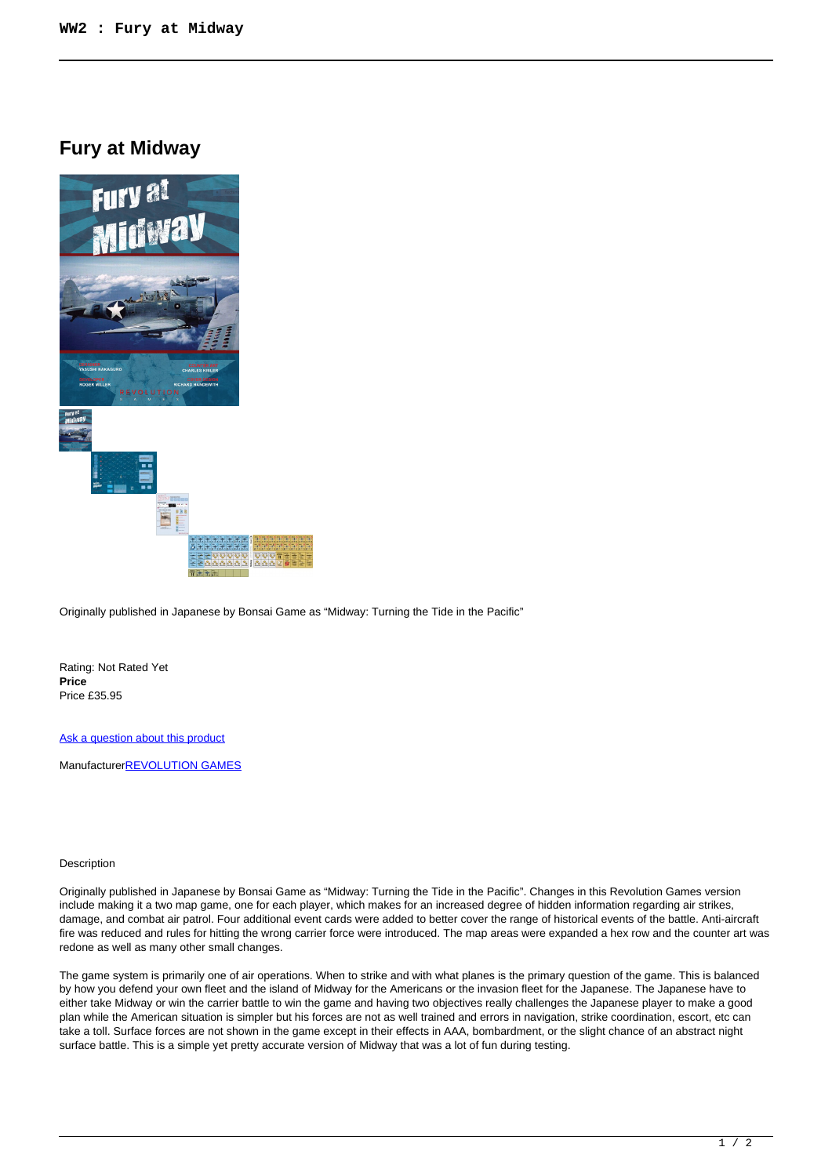## **Fury at Midway**



Originally published in Japanese by Bonsai Game as "Midway: Turning the Tide in the Pacific"

Rating: Not Rated Yet **Price**  Price £35.95

[Ask a question about this product](https://www.secondchancegames.com/index.php?option=com_virtuemart&view=productdetails&task=askquestion&virtuemart_product_id=12258&virtuemart_category_id=5&tmpl=component)

Manufacturer**[REVOLUTION GAMES](https://www.secondchancegames.com/index.php?option=com_virtuemart&view=manufacturer&virtuemart_manufacturer_id=2636&tmpl=component)** 

## Description

Originally published in Japanese by Bonsai Game as "Midway: Turning the Tide in the Pacific". Changes in this Revolution Games version include making it a two map game, one for each player, which makes for an increased degree of hidden information regarding air strikes, damage, and combat air patrol. Four additional event cards were added to better cover the range of historical events of the battle. Anti-aircraft fire was reduced and rules for hitting the wrong carrier force were introduced. The map areas were expanded a hex row and the counter art was redone as well as many other small changes.

The game system is primarily one of air operations. When to strike and with what planes is the primary question of the game. This is balanced by how you defend your own fleet and the island of Midway for the Americans or the invasion fleet for the Japanese. The Japanese have to either take Midway or win the carrier battle to win the game and having two objectives really challenges the Japanese player to make a good plan while the American situation is simpler but his forces are not as well trained and errors in navigation, strike coordination, escort, etc can take a toll. Surface forces are not shown in the game except in their effects in AAA, bombardment, or the slight chance of an abstract night surface battle. This is a simple yet pretty accurate version of Midway that was a lot of fun during testing.